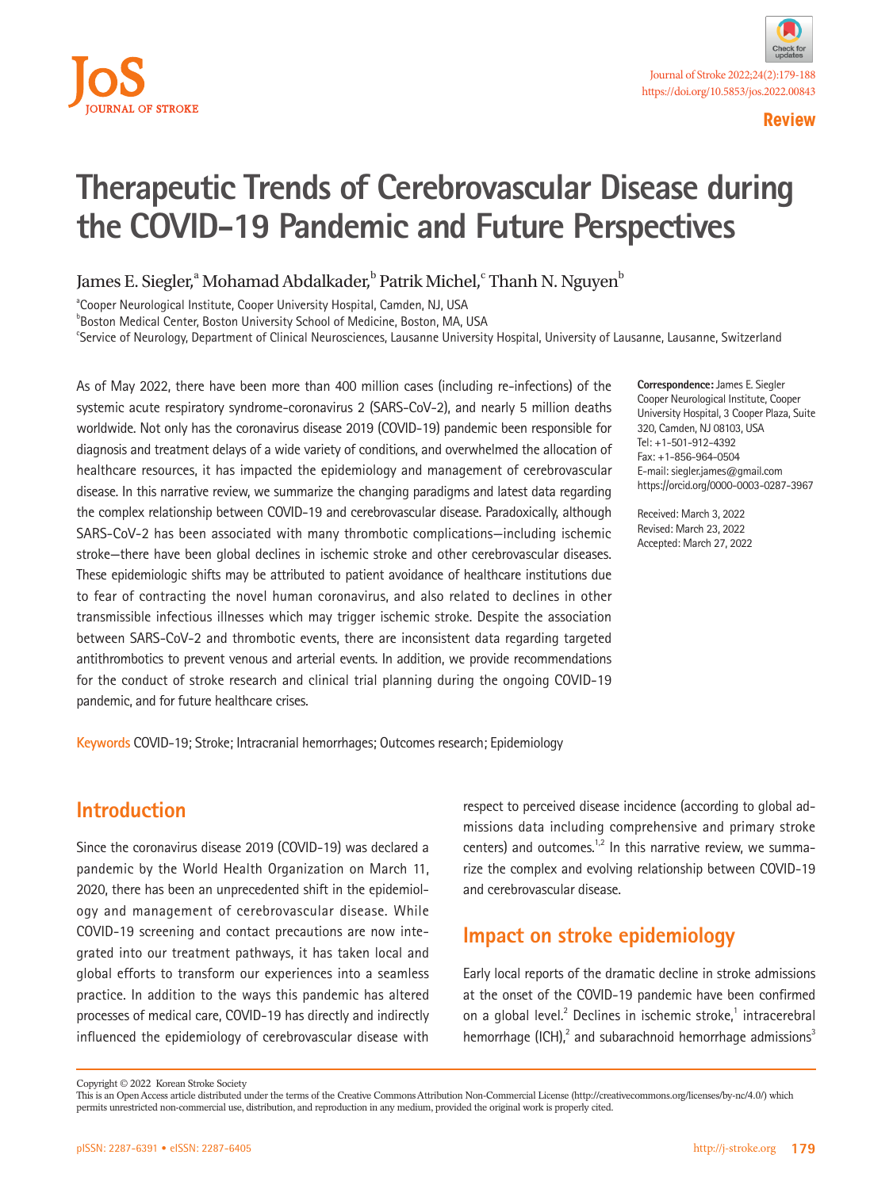

# **Therapeutic Trends of Cerebrovascular Disease during the COVID-19 Pandemic and Future Perspectives**

James E. Siegler,<sup>a</sup> Mohamad Abdalkader,<sup>b</sup> Patrik Michel,<sup>c</sup> Thanh N. Nguyen<sup>b</sup>

<sup>a</sup>Cooper Neurological Institute, Cooper University Hospital, Camden, NJ, USA

**Boston Medical Center, Boston University School of Medicine, Boston, MA, USA** 

c Service of Neurology, Department of Clinical Neurosciences, Lausanne University Hospital, University of Lausanne, Lausanne, Switzerland

As of May 2022, there have been more than 400 million cases (including re-infections) of the systemic acute respiratory syndrome-coronavirus 2 (SARS-CoV-2), and nearly 5 million deaths worldwide. Not only has the coronavirus disease 2019 (COVID-19) pandemic been responsible for diagnosis and treatment delays of a wide variety of conditions, and overwhelmed the allocation of healthcare resources, it has impacted the epidemiology and management of cerebrovascular disease. In this narrative review, we summarize the changing paradigms and latest data regarding the complex relationship between COVID-19 and cerebrovascular disease. Paradoxically, although SARS-CoV-2 has been associated with many thrombotic complications—including ischemic stroke—there have been global declines in ischemic stroke and other cerebrovascular diseases. These epidemiologic shifts may be attributed to patient avoidance of healthcare institutions due to fear of contracting the novel human coronavirus, and also related to declines in other transmissible infectious illnesses which may trigger ischemic stroke. Despite the association between SARS-CoV-2 and thrombotic events, there are inconsistent data regarding targeted antithrombotics to prevent venous and arterial events. In addition, we provide recommendations for the conduct of stroke research and clinical trial planning during the ongoing COVID-19 pandemic, and for future healthcare crises.

**Correspondence:** James E. Siegler Cooper Neurological Institute, Cooper University Hospital, 3 Cooper Plaza, Suite 320, Camden, NJ 08103, USA Tel: +1-501-912-4392 Fax: +1-856-964-0504 E-mail: siegler.james@gmail.com https://orcid.org/0000-0003-0287-3967

Received: March 3, 2022 Revised: March 23, 2022 Accepted: March 27, 2022

**Keywords** COVID-19; Stroke; Intracranial hemorrhages; Outcomes research; Epidemiology

## **Introduction**

Since the coronavirus disease 2019 (COVID-19) was declared a pandemic by the World Health Organization on March 11, 2020, there has been an unprecedented shift in the epidemiology and management of cerebrovascular disease. While COVID-19 screening and contact precautions are now integrated into our treatment pathways, it has taken local and global efforts to transform our experiences into a seamless practice. In addition to the ways this pandemic has altered processes of medical care, COVID-19 has directly and indirectly influenced the epidemiology of cerebrovascular disease with

respect to perceived disease incidence (according to global admissions data including comprehensive and primary stroke centers) and outcomes.<sup>1,2</sup> In this narrative review, we summarize the complex and evolving relationship between COVID-19 and cerebrovascular disease.

## **Impact on stroke epidemiology**

Early local reports of the dramatic decline in stroke admissions at the onset of the COVID-19 pandemic have been confirmed on a global level.<sup>2</sup> Declines in ischemic stroke,<sup>1</sup> intracerebral hemorrhage (ICH), $^2$  and subarachnoid hemorrhage admissions $^3$ 

Copyright © 2022 Korean Stroke Society

This is an Open Access article distributed under the terms of the Creative Commons Attribution Non-Commercial License (http://creativecommons.org/licenses/by-nc/4.0/) which permits unrestricted non-commercial use, distribution, and reproduction in any medium, provided the original work is properly cited.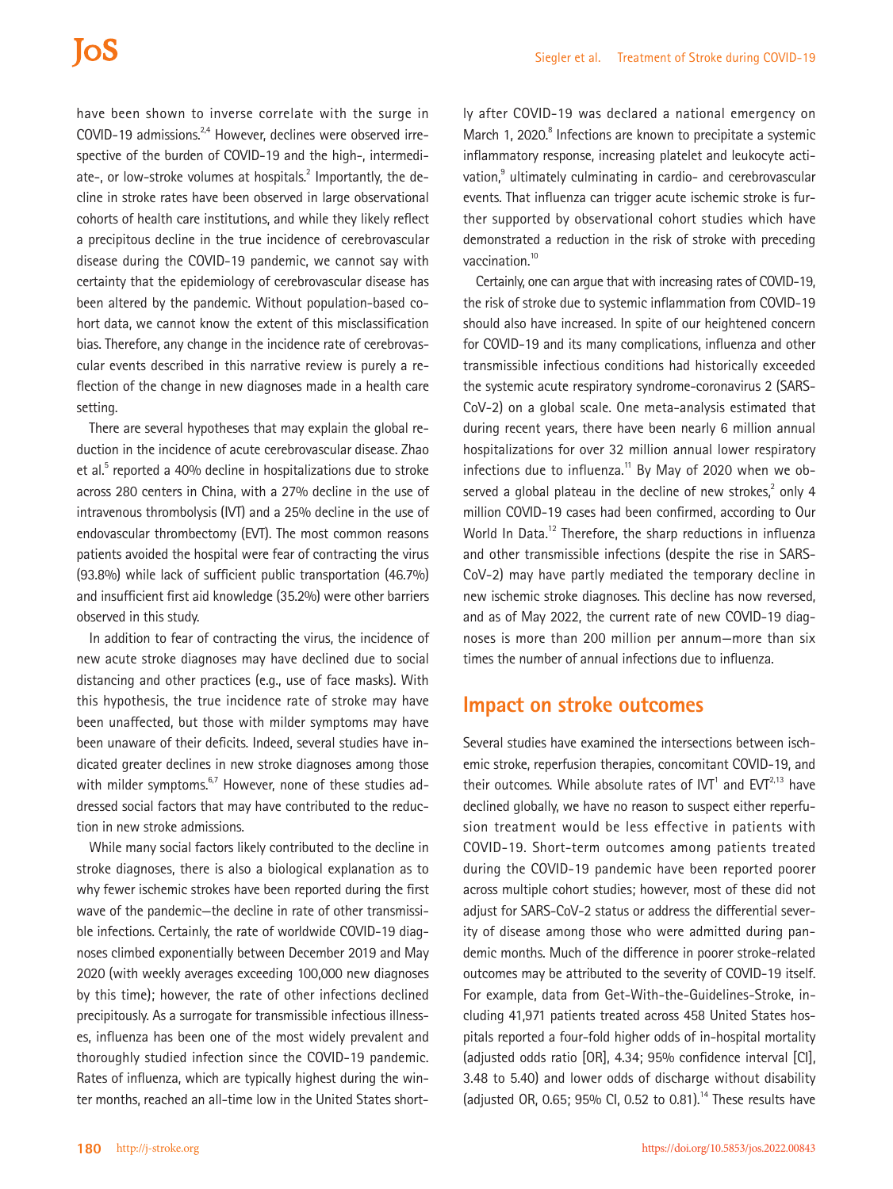have been shown to inverse correlate with the surge in COVID-19 admissions.<sup>2,4</sup> However, declines were observed irrespective of the burden of COVID-19 and the high-, intermediate-, or low-stroke volumes at hospitals.<sup>2</sup> Importantly, the decline in stroke rates have been observed in large observational cohorts of health care institutions, and while they likely reflect a precipitous decline in the true incidence of cerebrovascular disease during the COVID-19 pandemic, we cannot say with certainty that the epidemiology of cerebrovascular disease has been altered by the pandemic. Without population-based cohort data, we cannot know the extent of this misclassification bias. Therefore, any change in the incidence rate of cerebrovascular events described in this narrative review is purely a reflection of the change in new diagnoses made in a health care setting.

There are several hypotheses that may explain the global reduction in the incidence of acute cerebrovascular disease. Zhao et al.<sup>5</sup> reported a 40% decline in hospitalizations due to stroke across 280 centers in China, with a 27% decline in the use of intravenous thrombolysis (IVT) and a 25% decline in the use of endovascular thrombectomy (EVT). The most common reasons patients avoided the hospital were fear of contracting the virus (93.8%) while lack of sufficient public transportation (46.7%) and insufficient first aid knowledge (35.2%) were other barriers observed in this study.

In addition to fear of contracting the virus, the incidence of new acute stroke diagnoses may have declined due to social distancing and other practices (e.g., use of face masks). With this hypothesis, the true incidence rate of stroke may have been unaffected, but those with milder symptoms may have been unaware of their deficits. Indeed, several studies have indicated greater declines in new stroke diagnoses among those with milder symptoms.<sup>6,7</sup> However, none of these studies addressed social factors that may have contributed to the reduction in new stroke admissions.

While many social factors likely contributed to the decline in stroke diagnoses, there is also a biological explanation as to why fewer ischemic strokes have been reported during the first wave of the pandemic—the decline in rate of other transmissible infections. Certainly, the rate of worldwide COVID-19 diagnoses climbed exponentially between December 2019 and May 2020 (with weekly averages exceeding 100,000 new diagnoses by this time); however, the rate of other infections declined precipitously. As a surrogate for transmissible infectious illnesses, influenza has been one of the most widely prevalent and thoroughly studied infection since the COVID-19 pandemic. Rates of influenza, which are typically highest during the winter months, reached an all-time low in the United States short-

ly after COVID-19 was declared a national emergency on March 1, 2020.<sup>8</sup> Infections are known to precipitate a systemic inflammatory response, increasing platelet and leukocyte activation,<sup>9</sup> ultimately culminating in cardio- and cerebrovascular events. That influenza can trigger acute ischemic stroke is further supported by observational cohort studies which have demonstrated a reduction in the risk of stroke with preceding vaccination.<sup>10</sup>

Certainly, one can argue that with increasing rates of COVID-19, the risk of stroke due to systemic inflammation from COVID-19 should also have increased. In spite of our heightened concern for COVID-19 and its many complications, influenza and other transmissible infectious conditions had historically exceeded the systemic acute respiratory syndrome-coronavirus 2 (SARS-CoV-2) on a global scale. One meta-analysis estimated that during recent years, there have been nearly 6 million annual hospitalizations for over 32 million annual lower respiratory infections due to influenza.<sup>11</sup> By May of 2020 when we observed a global plateau in the decline of new strokes, $2$  only 4 million COVID-19 cases had been confirmed, according to Our World In Data.<sup>12</sup> Therefore, the sharp reductions in influenza and other transmissible infections (despite the rise in SARS-CoV-2) may have partly mediated the temporary decline in new ischemic stroke diagnoses. This decline has now reversed, and as of May 2022, the current rate of new COVID-19 diagnoses is more than 200 million per annum—more than six times the number of annual infections due to influenza.

### **Impact on stroke outcomes**

Several studies have examined the intersections between ischemic stroke, reperfusion therapies, concomitant COVID-19, and their outcomes. While absolute rates of  $IVT<sup>1</sup>$  and EVT<sup>2,13</sup> have declined globally, we have no reason to suspect either reperfusion treatment would be less effective in patients with COVID-19. Short-term outcomes among patients treated during the COVID-19 pandemic have been reported poorer across multiple cohort studies; however, most of these did not adjust for SARS-CoV-2 status or address the differential severity of disease among those who were admitted during pandemic months. Much of the difference in poorer stroke-related outcomes may be attributed to the severity of COVID-19 itself. For example, data from Get-With-the-Guidelines-Stroke, including 41,971 patients treated across 458 United States hospitals reported a four-fold higher odds of in-hospital mortality (adjusted odds ratio [OR], 4.34; 95% confidence interval [CI], 3.48 to 5.40) and lower odds of discharge without disability (adjusted OR, 0.65; 95% CI, 0.52 to 0.81).<sup>14</sup> These results have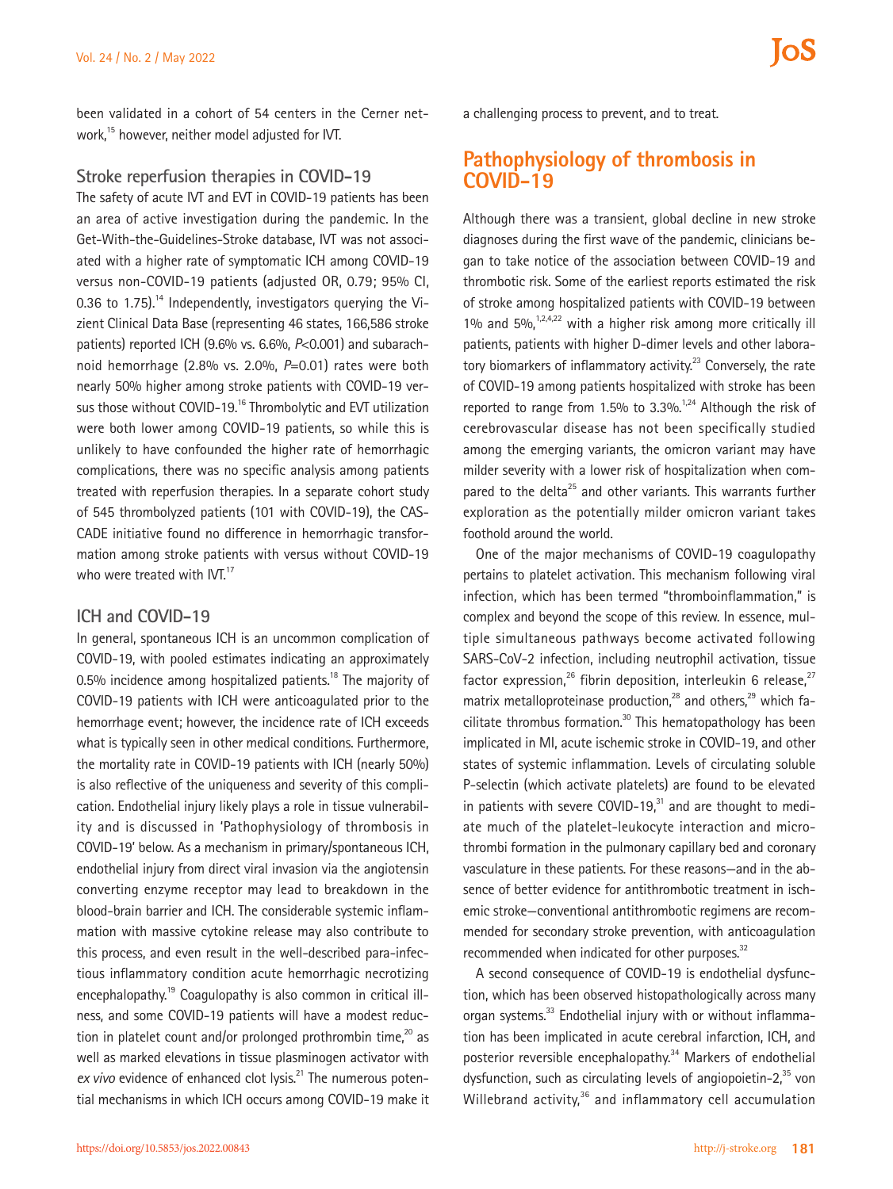been validated in a cohort of 54 centers in the Cerner network,15 however, neither model adjusted for IVT.

#### **Stroke reperfusion therapies in COVID-19**

The safety of acute IVT and EVT in COVID-19 patients has been an area of active investigation during the pandemic. In the Get-With-the-Guidelines-Stroke database, IVT was not associated with a higher rate of symptomatic ICH among COVID-19 versus non-COVID-19 patients (adjusted OR, 0.79; 95% CI, 0.36 to 1.75).<sup>14</sup> Independently, investigators querying the Vizient Clinical Data Base (representing 46 states, 166,586 stroke patients) reported ICH (9.6% vs. 6.6%, *P*<0.001) and subarachnoid hemorrhage (2.8% vs. 2.0%, *P*=0.01) rates were both nearly 50% higher among stroke patients with COVID-19 versus those without COVID-19.<sup>16</sup> Thrombolytic and EVT utilization were both lower among COVID-19 patients, so while this is unlikely to have confounded the higher rate of hemorrhagic complications, there was no specific analysis among patients treated with reperfusion therapies. In a separate cohort study of 545 thrombolyzed patients (101 with COVID-19), the CAS-CADE initiative found no difference in hemorrhagic transformation among stroke patients with versus without COVID-19 who were treated with IVT.<sup>17</sup>

#### **ICH and COVID-19**

In general, spontaneous ICH is an uncommon complication of COVID-19, with pooled estimates indicating an approximately 0.5% incidence among hospitalized patients.<sup>18</sup> The majority of COVID-19 patients with ICH were anticoagulated prior to the hemorrhage event; however, the incidence rate of ICH exceeds what is typically seen in other medical conditions. Furthermore, the mortality rate in COVID-19 patients with ICH (nearly 50%) is also reflective of the uniqueness and severity of this complication. Endothelial injury likely plays a role in tissue vulnerability and is discussed in 'Pathophysiology of thrombosis in COVID-19' below. As a mechanism in primary/spontaneous ICH, endothelial injury from direct viral invasion via the angiotensin converting enzyme receptor may lead to breakdown in the blood-brain barrier and ICH. The considerable systemic inflammation with massive cytokine release may also contribute to this process, and even result in the well-described para-infectious inflammatory condition acute hemorrhagic necrotizing encephalopathy.<sup>19</sup> Coagulopathy is also common in critical illness, and some COVID-19 patients will have a modest reduction in platelet count and/or prolonged prothrombin time,<sup>20</sup> as well as marked elevations in tissue plasminogen activator with ex vivo evidence of enhanced clot lysis.<sup>21</sup> The numerous potential mechanisms in which ICH occurs among COVID-19 make it

### **Pathophysiology of thrombosis in COVID-19**

Although there was a transient, global decline in new stroke diagnoses during the first wave of the pandemic, clinicians began to take notice of the association between COVID-19 and thrombotic risk. Some of the earliest reports estimated the risk of stroke among hospitalized patients with COVID-19 between 1% and  $5\%$ ,<sup>1,2,4,22</sup> with a higher risk among more critically ill patients, patients with higher D-dimer levels and other laboratory biomarkers of inflammatory activity.<sup>23</sup> Conversely, the rate of COVID-19 among patients hospitalized with stroke has been reported to range from  $1.5\%$  to  $3.3\%$ .<sup>1,24</sup> Although the risk of cerebrovascular disease has not been specifically studied among the emerging variants, the omicron variant may have milder severity with a lower risk of hospitalization when compared to the delta<sup>25</sup> and other variants. This warrants further exploration as the potentially milder omicron variant takes foothold around the world.

One of the major mechanisms of COVID-19 coagulopathy pertains to platelet activation. This mechanism following viral infection, which has been termed "thromboinflammation," is complex and beyond the scope of this review. In essence, multiple simultaneous pathways become activated following SARS-CoV-2 infection, including neutrophil activation, tissue factor expression,<sup>26</sup> fibrin deposition, interleukin 6 release,<sup>27</sup> matrix metalloproteinase production, $^{28}$  and others, $^{29}$  which facilitate thrombus formation.<sup>30</sup> This hematopathology has been implicated in MI, acute ischemic stroke in COVID-19, and other states of systemic inflammation. Levels of circulating soluble P-selectin (which activate platelets) are found to be elevated in patients with severe COVID-19 $<sup>31</sup>$  and are thought to medi-</sup> ate much of the platelet-leukocyte interaction and microthrombi formation in the pulmonary capillary bed and coronary vasculature in these patients. For these reasons—and in the absence of better evidence for antithrombotic treatment in ischemic stroke—conventional antithrombotic regimens are recommended for secondary stroke prevention, with anticoagulation recommended when indicated for other purposes. $32$ 

A second consequence of COVID-19 is endothelial dysfunction, which has been observed histopathologically across many organ systems.<sup>33</sup> Endothelial injury with or without inflammation has been implicated in acute cerebral infarction, ICH, and posterior reversible encephalopathy.<sup>34</sup> Markers of endothelial dysfunction, such as circulating levels of angiopoietin-2, $35$  von Willebrand activity,<sup>36</sup> and inflammatory cell accumulation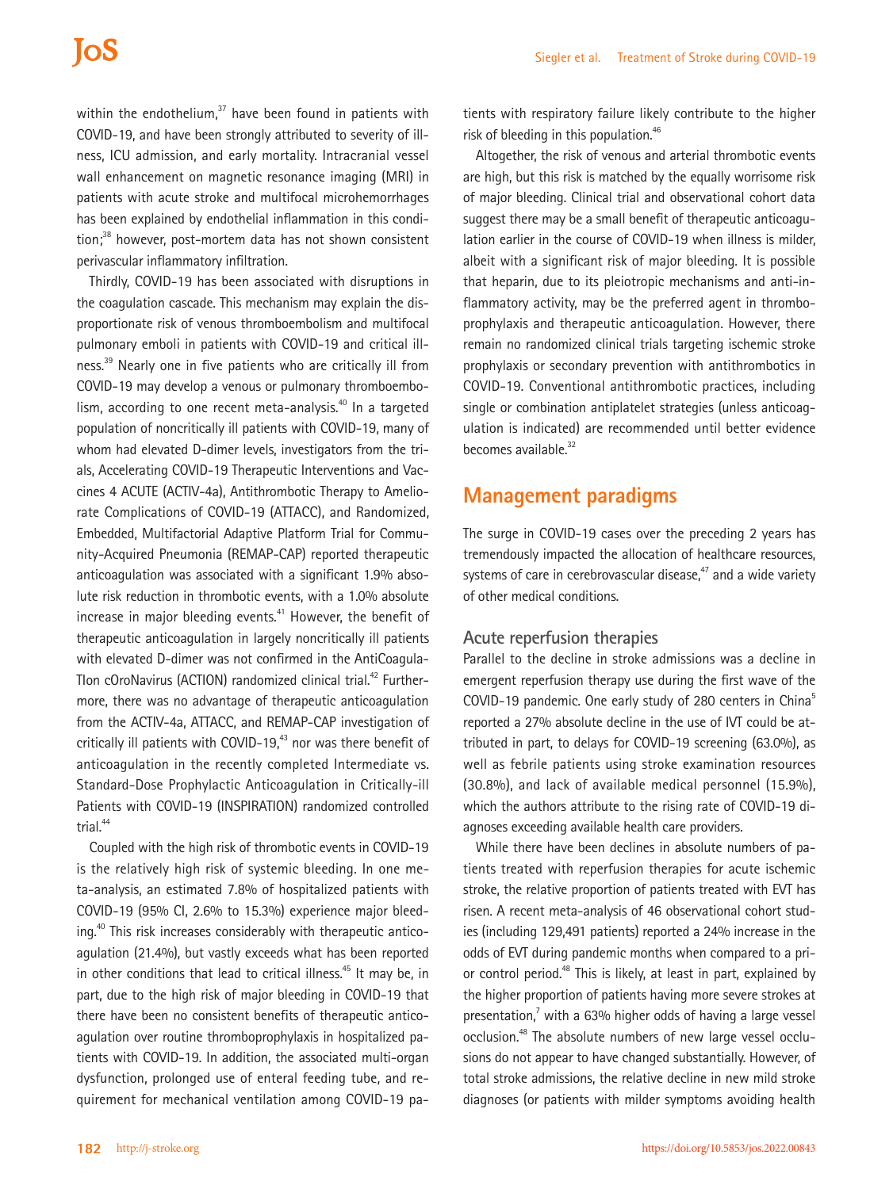within the endothelium, $37$  have been found in patients with COVID-19, and have been strongly attributed to severity of illness, ICU admission, and early mortality. Intracranial vessel wall enhancement on magnetic resonance imaging (MRI) in patients with acute stroke and multifocal microhemorrhages has been explained by endothelial inflammation in this condition;<sup>38</sup> however, post-mortem data has not shown consistent perivascular inflammatory infiltration.

Thirdly, COVID-19 has been associated with disruptions in the coagulation cascade. This mechanism may explain the disproportionate risk of venous thromboembolism and multifocal pulmonary emboli in patients with COVID-19 and critical illness.<sup>39</sup> Nearly one in five patients who are critically ill from COVID-19 may develop a venous or pulmonary thromboembolism, according to one recent meta-analysis.<sup>40</sup> In a targeted population of noncritically ill patients with COVID-19, many of whom had elevated D-dimer levels, investigators from the trials, Accelerating COVID-19 Therapeutic Interventions and Vaccines 4 ACUTE (ACTIV-4a), Antithrombotic Therapy to Ameliorate Complications of COVID-19 (ATTACC), and Randomized, Embedded, Multifactorial Adaptive Platform Trial for Community-Acquired Pneumonia (REMAP-CAP) reported therapeutic anticoagulation was associated with a significant 1.9% absolute risk reduction in thrombotic events, with a 1.0% absolute increase in major bleeding events.<sup>41</sup> However, the benefit of therapeutic anticoagulation in largely noncritically ill patients with elevated D-dimer was not confirmed in the AntiCoagula-Tlon cOroNavirus (ACTION) randomized clinical trial.<sup>42</sup> Furthermore, there was no advantage of therapeutic anticoagulation from the ACTIV-4a, ATTACC, and REMAP-CAP investigation of critically ill patients with COVID-19, $43$  nor was there benefit of anticoagulation in the recently completed Intermediate vs. Standard-Dose Prophylactic Anticoagulation in Critically-ill Patients with COVID-19 (INSPIRATION) randomized controlled trial.<sup>44</sup>

Coupled with the high risk of thrombotic events in COVID-19 is the relatively high risk of systemic bleeding. In one meta-analysis, an estimated 7.8% of hospitalized patients with COVID-19 (95% CI, 2.6% to 15.3%) experience major bleeding.40 This risk increases considerably with therapeutic anticoagulation (21.4%), but vastly exceeds what has been reported in other conditions that lead to critical illness.<sup>45</sup> It may be, in part, due to the high risk of major bleeding in COVID-19 that there have been no consistent benefits of therapeutic anticoagulation over routine thromboprophylaxis in hospitalized patients with COVID-19. In addition, the associated multi-organ dysfunction, prolonged use of enteral feeding tube, and requirement for mechanical ventilation among COVID-19 pa-

tients with respiratory failure likely contribute to the higher risk of bleeding in this population.<sup>46</sup>

Altogether, the risk of venous and arterial thrombotic events are high, but this risk is matched by the equally worrisome risk of major bleeding. Clinical trial and observational cohort data suggest there may be a small benefit of therapeutic anticoagulation earlier in the course of COVID-19 when illness is milder, albeit with a significant risk of major bleeding. It is possible that heparin, due to its pleiotropic mechanisms and anti-inflammatory activity, may be the preferred agent in thromboprophylaxis and therapeutic anticoagulation. However, there remain no randomized clinical trials targeting ischemic stroke prophylaxis or secondary prevention with antithrombotics in COVID-19. Conventional antithrombotic practices, including single or combination antiplatelet strategies (unless anticoagulation is indicated) are recommended until better evidence becomes available.<sup>32</sup>

### **Management paradigms**

The surge in COVID-19 cases over the preceding 2 years has tremendously impacted the allocation of healthcare resources, systems of care in cerebrovascular disease, $47$  and a wide variety of other medical conditions.

#### **Acute reperfusion therapies**

Parallel to the decline in stroke admissions was a decline in emergent reperfusion therapy use during the first wave of the COVID-19 pandemic. One early study of 280 centers in China<sup>5</sup> reported a 27% absolute decline in the use of IVT could be attributed in part, to delays for COVID-19 screening (63.0%), as well as febrile patients using stroke examination resources (30.8%), and lack of available medical personnel (15.9%), which the authors attribute to the rising rate of COVID-19 diagnoses exceeding available health care providers.

While there have been declines in absolute numbers of patients treated with reperfusion therapies for acute ischemic stroke, the relative proportion of patients treated with EVT has risen. A recent meta-analysis of 46 observational cohort studies (including 129,491 patients) reported a 24% increase in the odds of EVT during pandemic months when compared to a prior control period.<sup>48</sup> This is likely, at least in part, explained by the higher proportion of patients having more severe strokes at presentation, $7$  with a 63% higher odds of having a large vessel occlusion.<sup>48</sup> The absolute numbers of new large vessel occlusions do not appear to have changed substantially. However, of total stroke admissions, the relative decline in new mild stroke diagnoses (or patients with milder symptoms avoiding health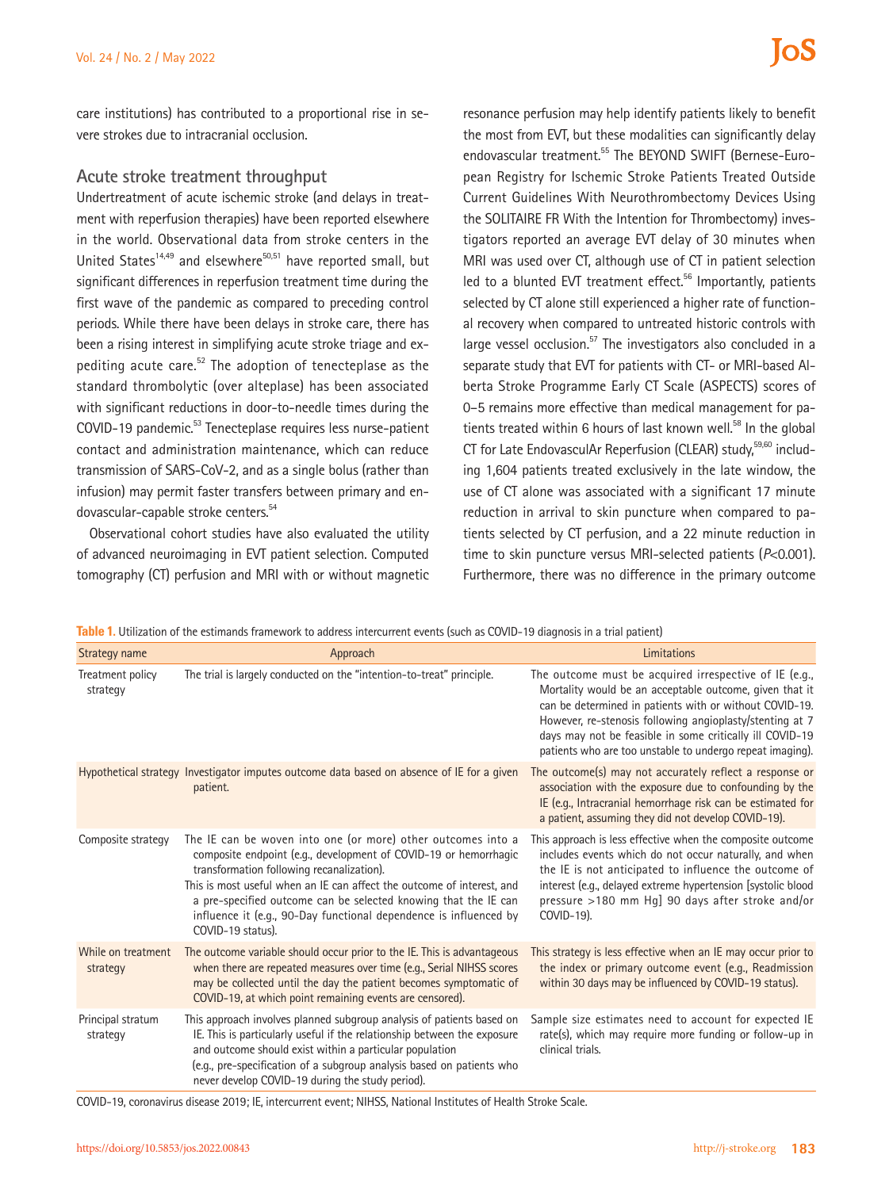care institutions) has contributed to a proportional rise in severe strokes due to intracranial occlusion.

#### **Acute stroke treatment throughput**

Undertreatment of acute ischemic stroke (and delays in treatment with reperfusion therapies) have been reported elsewhere in the world. Observational data from stroke centers in the United States<sup>14,49</sup> and elsewhere<sup>50,51</sup> have reported small, but significant differences in reperfusion treatment time during the first wave of the pandemic as compared to preceding control periods. While there have been delays in stroke care, there has been a rising interest in simplifying acute stroke triage and expediting acute care.<sup>52</sup> The adoption of tenecteplase as the standard thrombolytic (over alteplase) has been associated with significant reductions in door-to-needle times during the COVID-19 pandemic.<sup>53</sup> Tenecteplase requires less nurse-patient contact and administration maintenance, which can reduce transmission of SARS-CoV-2, and as a single bolus (rather than infusion) may permit faster transfers between primary and endovascular-capable stroke centers.54

Observational cohort studies have also evaluated the utility of advanced neuroimaging in EVT patient selection. Computed tomography (CT) perfusion and MRI with or without magnetic

resonance perfusion may help identify patients likely to benefit the most from EVT, but these modalities can significantly delay endovascular treatment.<sup>55</sup> The BEYOND SWIFT (Bernese-European Registry for Ischemic Stroke Patients Treated Outside Current Guidelines With Neurothrombectomy Devices Using the SOLITAIRE FR With the Intention for Thrombectomy) investigators reported an average EVT delay of 30 minutes when MRI was used over CT, although use of CT in patient selection led to a blunted EVT treatment effect.<sup>56</sup> Importantly, patients selected by CT alone still experienced a higher rate of functional recovery when compared to untreated historic controls with large vessel occlusion.<sup>57</sup> The investigators also concluded in a separate study that EVT for patients with CT- or MRI-based Alberta Stroke Programme Early CT Scale (ASPECTS) scores of 0–5 remains more effective than medical management for patients treated within 6 hours of last known well. $^{58}$  In the global CT for Late EndovasculAr Reperfusion (CLEAR) study.<sup>59,60</sup> including 1,604 patients treated exclusively in the late window, the use of CT alone was associated with a significant 17 minute reduction in arrival to skin puncture when compared to patients selected by CT perfusion, and a 22 minute reduction in time to skin puncture versus MRI-selected patients (*P*<0.001). Furthermore, there was no difference in the primary outcome

**Table 1.** Utilization of the estimands framework to address intercurrent events (such as COVID-19 diagnosis in a trial patient)

| Strategy name                  | Approach                                                                                                                                                                                                                                                                                                                                                                                                             | Limitations                                                                                                                                                                                                                                                                                                                                                       |
|--------------------------------|----------------------------------------------------------------------------------------------------------------------------------------------------------------------------------------------------------------------------------------------------------------------------------------------------------------------------------------------------------------------------------------------------------------------|-------------------------------------------------------------------------------------------------------------------------------------------------------------------------------------------------------------------------------------------------------------------------------------------------------------------------------------------------------------------|
| Treatment policy<br>strategy   | The trial is largely conducted on the "intention-to-treat" principle.                                                                                                                                                                                                                                                                                                                                                | The outcome must be acquired irrespective of IE (e.g.,<br>Mortality would be an acceptable outcome, given that it<br>can be determined in patients with or without COVID-19.<br>However, re-stenosis following angioplasty/stenting at 7<br>days may not be feasible in some critically ill COVID-19<br>patients who are too unstable to undergo repeat imaging). |
|                                | Hypothetical strategy Investigator imputes outcome data based on absence of IE for a given<br>patient.                                                                                                                                                                                                                                                                                                               | The outcome(s) may not accurately reflect a response or<br>association with the exposure due to confounding by the<br>IE (e.g., Intracranial hemorrhage risk can be estimated for<br>a patient, assuming they did not develop COVID-19).                                                                                                                          |
| Composite strategy             | The IE can be woven into one (or more) other outcomes into a<br>composite endpoint (e.g., development of COVID-19 or hemorrhagic<br>transformation following recanalization).<br>This is most useful when an IE can affect the outcome of interest, and<br>a pre-specified outcome can be selected knowing that the IE can<br>influence it (e.g., 90-Day functional dependence is influenced by<br>COVID-19 status). | This approach is less effective when the composite outcome<br>includes events which do not occur naturally, and when<br>the IE is not anticipated to influence the outcome of<br>interest (e.g., delayed extreme hypertension [systolic blood<br>pressure >180 mm Hg] 90 days after stroke and/or<br>COVID-19).                                                   |
| While on treatment<br>strategy | The outcome variable should occur prior to the IE. This is advantageous<br>when there are repeated measures over time (e.g., Serial NIHSS scores<br>may be collected until the day the patient becomes symptomatic of<br>COVID-19, at which point remaining events are censored).                                                                                                                                    | This strategy is less effective when an IE may occur prior to<br>the index or primary outcome event (e.g., Readmission<br>within 30 days may be influenced by COVID-19 status).                                                                                                                                                                                   |
| Principal stratum<br>strategy  | This approach involves planned subgroup analysis of patients based on<br>IE. This is particularly useful if the relationship between the exposure<br>and outcome should exist within a particular population<br>(e.g., pre-specification of a subgroup analysis based on patients who<br>never develop COVID-19 during the study period).                                                                            | Sample size estimates need to account for expected IE<br>rate(s), which may require more funding or follow-up in<br>clinical trials.                                                                                                                                                                                                                              |

COVID-19, coronavirus disease 2019; IE, intercurrent event; NIHSS, National Institutes of Health Stroke Scale.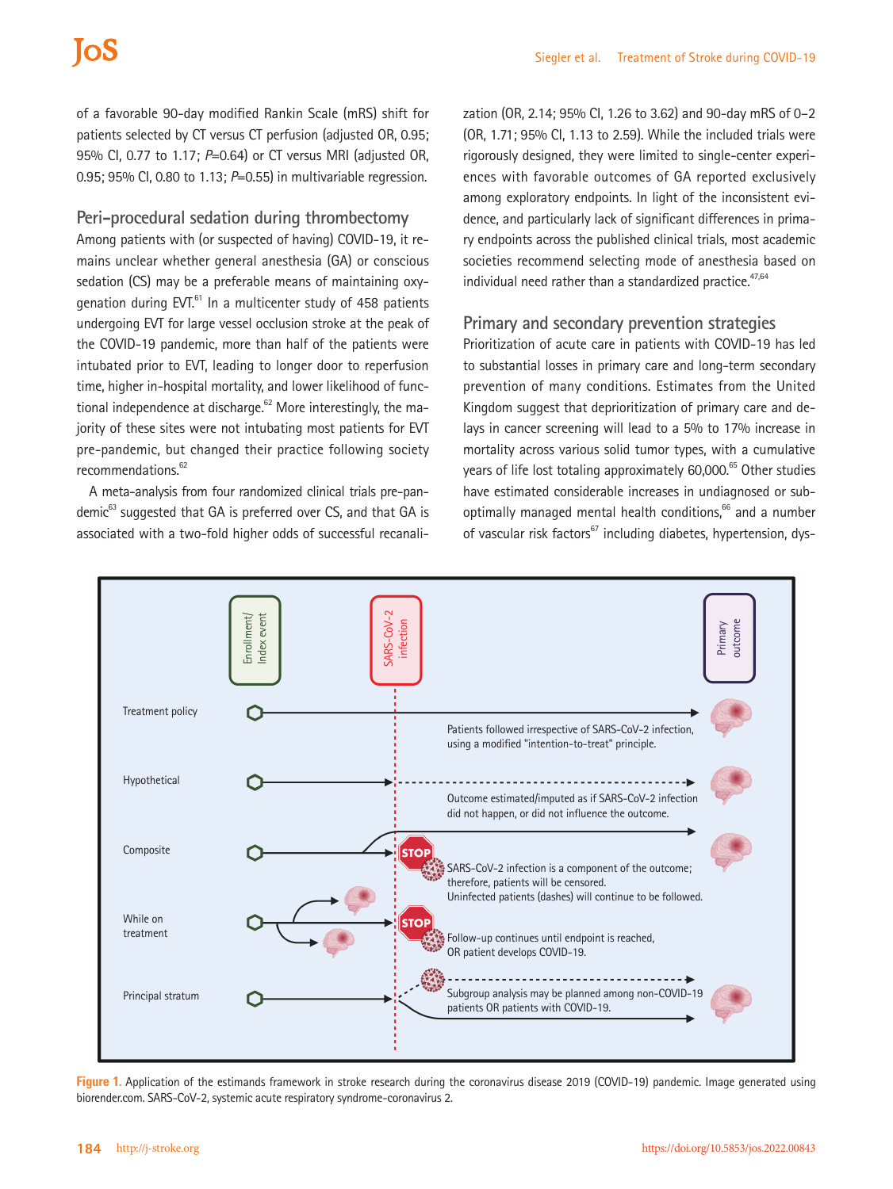# **ToS**

of a favorable 90-day modified Rankin Scale (mRS) shift for patients selected by CT versus CT perfusion (adjusted OR, 0.95; 95% CI, 0.77 to 1.17; *P*=0.64) or CT versus MRI (adjusted OR, 0.95; 95% CI, 0.80 to 1.13; *P*=0.55) in multivariable regression.

#### **Peri-procedural sedation during thrombectomy**

Among patients with (or suspected of having) COVID-19, it remains unclear whether general anesthesia (GA) or conscious sedation (CS) may be a preferable means of maintaining oxygenation during EVT. $61$  In a multicenter study of 458 patients undergoing EVT for large vessel occlusion stroke at the peak of the COVID-19 pandemic, more than half of the patients were intubated prior to EVT, leading to longer door to reperfusion time, higher in-hospital mortality, and lower likelihood of functional independence at discharge.<sup>62</sup> More interestingly, the majority of these sites were not intubating most patients for EVT pre-pandemic, but changed their practice following society recommendations.<sup>62</sup>

A meta-analysis from four randomized clinical trials pre-pandemic<sup>63</sup> suggested that GA is preferred over CS, and that GA is associated with a two-fold higher odds of successful recanalization (OR, 2.14; 95% CI, 1.26 to 3.62) and 90-day mRS of 0–2 (OR, 1.71; 95% CI, 1.13 to 2.59). While the included trials were rigorously designed, they were limited to single-center experiences with favorable outcomes of GA reported exclusively among exploratory endpoints. In light of the inconsistent evidence, and particularly lack of significant differences in primary endpoints across the published clinical trials, most academic societies recommend selecting mode of anesthesia based on individual need rather than a standardized practice.<sup>47,64</sup>

#### **Primary and secondary prevention strategies**

Prioritization of acute care in patients with COVID-19 has led to substantial losses in primary care and long-term secondary prevention of many conditions. Estimates from the United Kingdom suggest that deprioritization of primary care and delays in cancer screening will lead to a 5% to 17% increase in mortality across various solid tumor types, with a cumulative years of life lost totaling approximately 60,000.<sup>65</sup> Other studies have estimated considerable increases in undiagnosed or suboptimally managed mental health conditions,<sup>66</sup> and a number of vascular risk factors $67$  including diabetes, hypertension, dys-



Figure 1. Application of the estimands framework in stroke research during the coronavirus disease 2019 (COVID-19) pandemic. Image generated using biorender.com. SARS-CoV-2, systemic acute respiratory syndrome-coronavirus 2.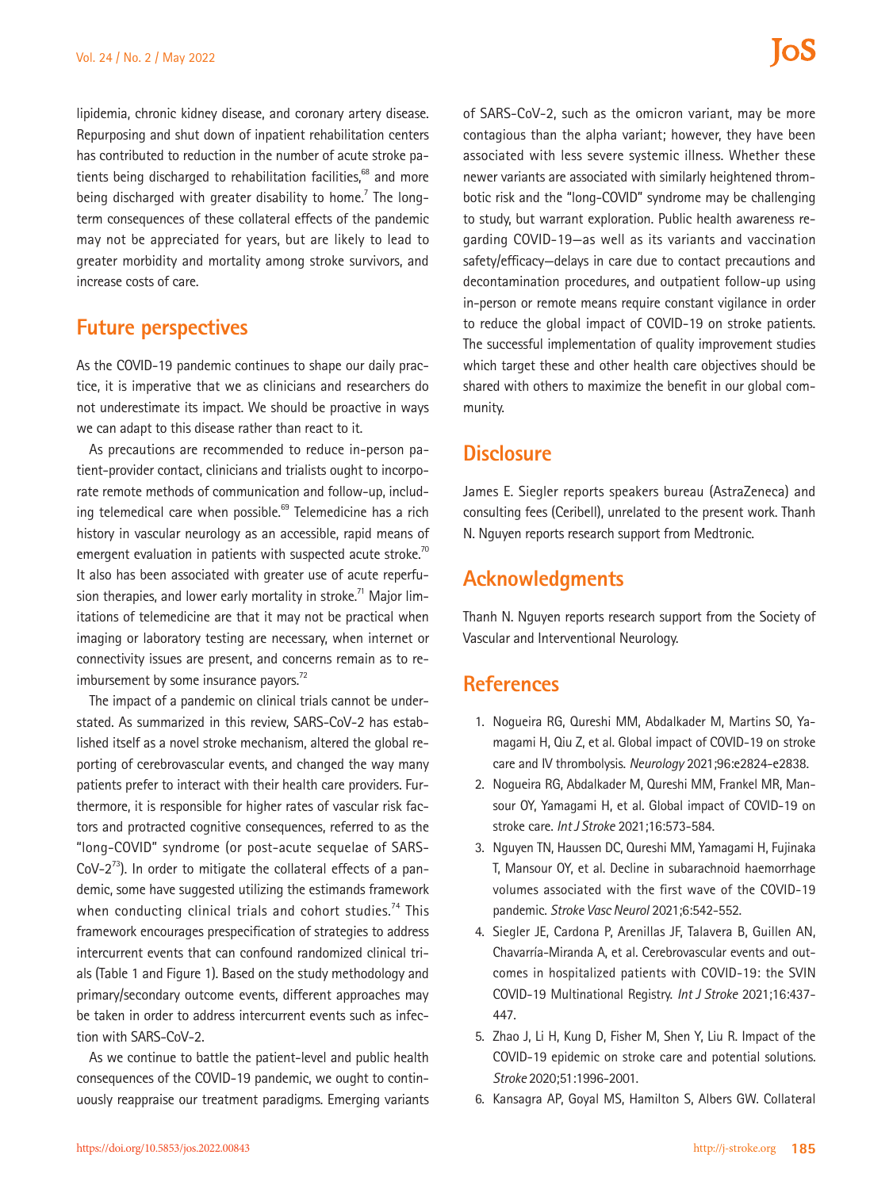lipidemia, chronic kidney disease, and coronary artery disease. Repurposing and shut down of inpatient rehabilitation centers has contributed to reduction in the number of acute stroke patients being discharged to rehabilitation facilities,<sup>68</sup> and more being discharged with greater disability to home.<sup>7</sup> The longterm consequences of these collateral effects of the pandemic may not be appreciated for years, but are likely to lead to greater morbidity and mortality among stroke survivors, and increase costs of care.

## **Future perspectives**

As the COVID-19 pandemic continues to shape our daily practice, it is imperative that we as clinicians and researchers do not underestimate its impact. We should be proactive in ways we can adapt to this disease rather than react to it.

As precautions are recommended to reduce in-person patient-provider contact, clinicians and trialists ought to incorporate remote methods of communication and follow-up, including telemedical care when possible. $69$  Telemedicine has a rich history in vascular neurology as an accessible, rapid means of emergent evaluation in patients with suspected acute stroke.<sup>70</sup> It also has been associated with greater use of acute reperfusion therapies, and lower early mortality in stroke.<sup>71</sup> Major limitations of telemedicine are that it may not be practical when imaging or laboratory testing are necessary, when internet or connectivity issues are present, and concerns remain as to reimbursement by some insurance payors. $72$ 

The impact of a pandemic on clinical trials cannot be understated. As summarized in this review, SARS-CoV-2 has established itself as a novel stroke mechanism, altered the global reporting of cerebrovascular events, and changed the way many patients prefer to interact with their health care providers. Furthermore, it is responsible for higher rates of vascular risk factors and protracted cognitive consequences, referred to as the "long-COVID" syndrome (or post-acute sequelae of SARS- $CoV-2^{73}$ ). In order to mitigate the collateral effects of a pandemic, some have suggested utilizing the estimands framework when conducting clinical trials and cohort studies.<sup>74</sup> This framework encourages prespecification of strategies to address intercurrent events that can confound randomized clinical trials (Table 1 and Figure 1). Based on the study methodology and primary/secondary outcome events, different approaches may be taken in order to address intercurrent events such as infection with SARS-CoV-2.

As we continue to battle the patient-level and public health consequences of the COVID-19 pandemic, we ought to continuously reappraise our treatment paradigms. Emerging variants

of SARS-CoV-2, such as the omicron variant, may be more contagious than the alpha variant; however, they have been associated with less severe systemic illness. Whether these newer variants are associated with similarly heightened thrombotic risk and the "long-COVID" syndrome may be challenging to study, but warrant exploration. Public health awareness regarding COVID-19—as well as its variants and vaccination safety/efficacy—delays in care due to contact precautions and decontamination procedures, and outpatient follow-up using

los

James E. Siegler reports speakers bureau (AstraZeneca) and consulting fees (Ceribell), unrelated to the present work. Thanh N. Nguyen reports research support from Medtronic.

in-person or remote means require constant vigilance in order to reduce the global impact of COVID-19 on stroke patients. The successful implementation of quality improvement studies which target these and other health care objectives should be shared with others to maximize the benefit in our global com-

## **Acknowledgments**

Thanh N. Nguyen reports research support from the Society of Vascular and Interventional Neurology.

## **References**

munity.

**Disclosure**

- 1. Nogueira RG, Qureshi MM, Abdalkader M, Martins SO, Yamagami H, Qiu Z, et al. Global impact of COVID-19 on stroke care and IV thrombolysis. *Neurology* 2021;96:e2824-e2838.
- 2. Nogueira RG, Abdalkader M, Qureshi MM, Frankel MR, Mansour OY, Yamagami H, et al. Global impact of COVID-19 on stroke care. *Int J Stroke* 2021;16:573-584.
- 3. Nguyen TN, Haussen DC, Qureshi MM, Yamagami H, Fujinaka T, Mansour OY, et al. Decline in subarachnoid haemorrhage volumes associated with the first wave of the COVID-19 pandemic. *Stroke Vasc Neurol* 2021;6:542-552.
- 4. Siegler JE, Cardona P, Arenillas JF, Talavera B, Guillen AN, Chavarría-Miranda A, et al. Cerebrovascular events and outcomes in hospitalized patients with COVID-19: the SVIN COVID-19 Multinational Registry. *Int J Stroke* 2021;16:437- 447.
- 5. Zhao J, Li H, Kung D, Fisher M, Shen Y, Liu R. Impact of the COVID-19 epidemic on stroke care and potential solutions. *Stroke* 2020;51:1996-2001.
- 6. Kansagra AP, Goyal MS, Hamilton S, Albers GW. Collateral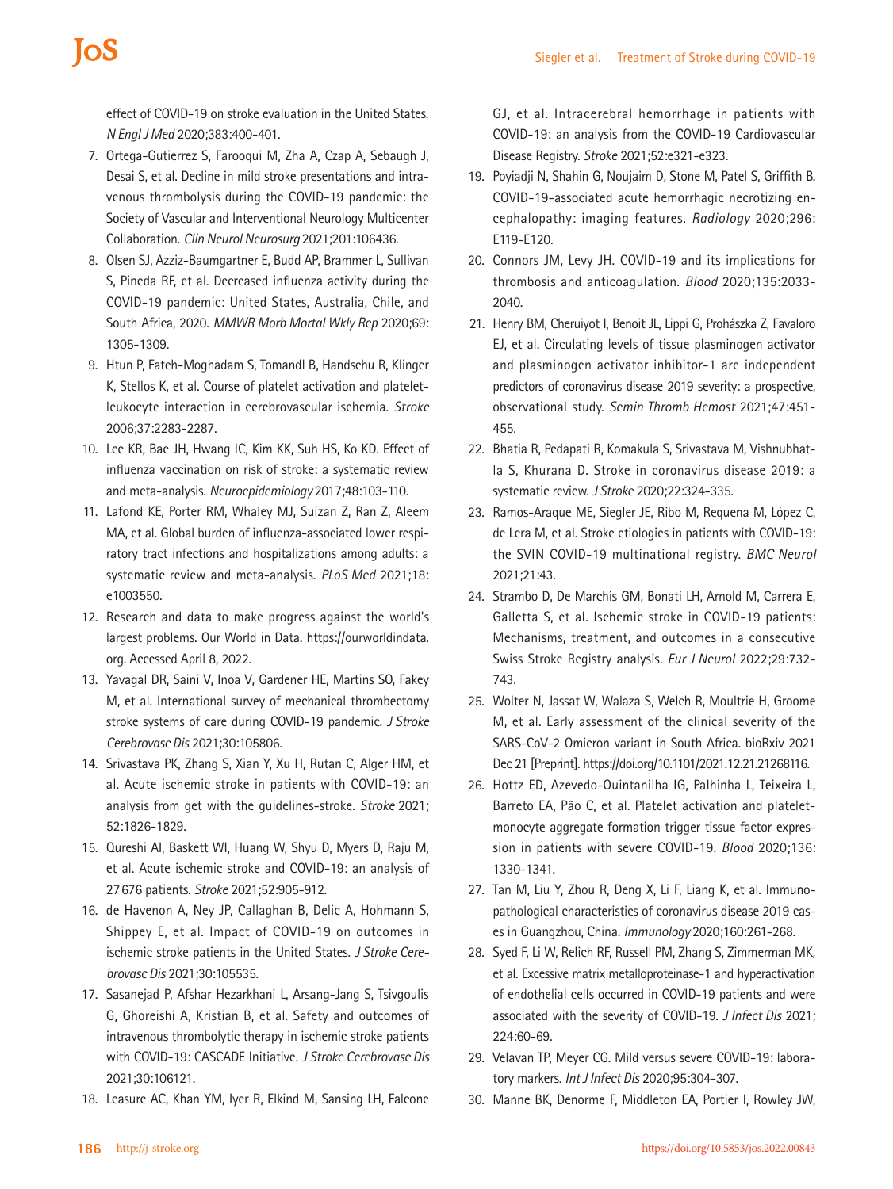# **IOS**

effect of COVID-19 on stroke evaluation in the United States. *N Engl J Med* 2020;383:400-401.

- 7. Ortega-Gutierrez S, Farooqui M, Zha A, Czap A, Sebaugh J, Desai S, et al. Decline in mild stroke presentations and intravenous thrombolysis during the COVID-19 pandemic: the Society of Vascular and Interventional Neurology Multicenter Collaboration. *Clin Neurol Neurosurg* 2021;201:106436.
- 8. Olsen SJ, Azziz-Baumgartner E, Budd AP, Brammer L, Sullivan S, Pineda RF, et al. Decreased influenza activity during the COVID-19 pandemic: United States, Australia, Chile, and South Africa, 2020. *MMWR Morb Mortal Wkly Rep* 2020;69: 1305-1309.
- 9. Htun P, Fateh-Moghadam S, Tomandl B, Handschu R, Klinger K, Stellos K, et al. Course of platelet activation and plateletleukocyte interaction in cerebrovascular ischemia. *Stroke*  2006;37:2283-2287.
- 10. Lee KR, Bae JH, Hwang IC, Kim KK, Suh HS, Ko KD. Effect of influenza vaccination on risk of stroke: a systematic review and meta-analysis. *Neuroepidemiology* 2017;48:103-110.
- 11. Lafond KE, Porter RM, Whaley MJ, Suizan Z, Ran Z, Aleem MA, et al. Global burden of influenza-associated lower respiratory tract infections and hospitalizations among adults: a systematic review and meta-analysis. *PLoS Med* 2021;18: e1003550.
- 12. Research and data to make progress against the world's largest problems. Our World in Data. https://ourworldindata. org. Accessed April 8, 2022.
- 13. Yavagal DR, Saini V, Inoa V, Gardener HE, Martins SO, Fakey M, et al. International survey of mechanical thrombectomy stroke systems of care during COVID-19 pandemic. *J Stroke Cerebrovasc Dis* 2021;30:105806.
- 14. Srivastava PK, Zhang S, Xian Y, Xu H, Rutan C, Alger HM, et al. Acute ischemic stroke in patients with COVID-19: an analysis from get with the guidelines-stroke. *Stroke* 2021; 52:1826-1829.
- 15. Qureshi AI, Baskett WI, Huang W, Shyu D, Myers D, Raju M, et al. Acute ischemic stroke and COVID-19: an analysis of 27676 patients. *Stroke* 2021;52:905-912.
- 16. de Havenon A, Ney JP, Callaghan B, Delic A, Hohmann S, Shippey E, et al. Impact of COVID-19 on outcomes in ischemic stroke patients in the United States. *J Stroke Cerebrovasc Dis* 2021;30:105535.
- 17. Sasanejad P, Afshar Hezarkhani L, Arsang-Jang S, Tsivgoulis G, Ghoreishi A, Kristian B, et al. Safety and outcomes of intravenous thrombolytic therapy in ischemic stroke patients with COVID-19: CASCADE Initiative. *J Stroke Cerebrovasc Dis* 2021;30:106121.
- 18. Leasure AC, Khan YM, Iyer R, Elkind M, Sansing LH, Falcone

GJ, et al. Intracerebral hemorrhage in patients with COVID-19: an analysis from the COVID-19 Cardiovascular Disease Registry. *Stroke* 2021;52:e321-e323.

- 19. Poyiadji N, Shahin G, Noujaim D, Stone M, Patel S, Griffith B. COVID-19-associated acute hemorrhagic necrotizing encephalopathy: imaging features. *Radiology* 2020;296: E119-E120.
- 20. Connors JM, Levy JH. COVID-19 and its implications for thrombosis and anticoagulation. *Blood* 2020;135:2033- 2040.
- 21. Henry BM, Cheruiyot I, Benoit JL, Lippi G, Prohászka Z, Favaloro EJ, et al. Circulating levels of tissue plasminogen activator and plasminogen activator inhibitor-1 are independent predictors of coronavirus disease 2019 severity: a prospective, observational study. *Semin Thromb Hemost* 2021;47:451- 455.
- 22. Bhatia R, Pedapati R, Komakula S, Srivastava M, Vishnubhatla S, Khurana D. Stroke in coronavirus disease 2019: a systematic review. *J Stroke* 2020;22:324-335.
- 23. Ramos-Araque ME, Siegler JE, Ribo M, Requena M, López C, de Lera M, et al. Stroke etiologies in patients with COVID-19: the SVIN COVID-19 multinational registry. *BMC Neurol* 2021;21:43.
- 24. Strambo D, De Marchis GM, Bonati LH, Arnold M, Carrera E, Galletta S, et al. Ischemic stroke in COVID-19 patients: Mechanisms, treatment, and outcomes in a consecutive Swiss Stroke Registry analysis. *Eur J Neurol* 2022;29:732- 743.
- 25. Wolter N, Jassat W, Walaza S, Welch R, Moultrie H, Groome M, et al. Early assessment of the clinical severity of the SARS-CoV-2 Omicron variant in South Africa. bioRxiv 2021 Dec 21 [Preprint]. https://doi.org/10.1101/2021.12.21.21268116.
- 26. Hottz ED, Azevedo-Quintanilha IG, Palhinha L, Teixeira L, Barreto EA, Pão C, et al. Platelet activation and plateletmonocyte aggregate formation trigger tissue factor expression in patients with severe COVID-19. *Blood* 2020;136: 1330-1341.
- 27. Tan M, Liu Y, Zhou R, Deng X, Li F, Liang K, et al. Immunopathological characteristics of coronavirus disease 2019 cases in Guangzhou, China. *Immunology* 2020;160:261-268.
- 28. Syed F, Li W, Relich RF, Russell PM, Zhang S, Zimmerman MK, et al. Excessive matrix metalloproteinase-1 and hyperactivation of endothelial cells occurred in COVID-19 patients and were associated with the severity of COVID-19. *J Infect Dis* 2021; 224:60-69.
- 29. Velavan TP, Meyer CG. Mild versus severe COVID-19: laboratory markers. *Int J Infect Dis* 2020;95:304-307.
- 30. Manne BK, Denorme F, Middleton EA, Portier I, Rowley JW,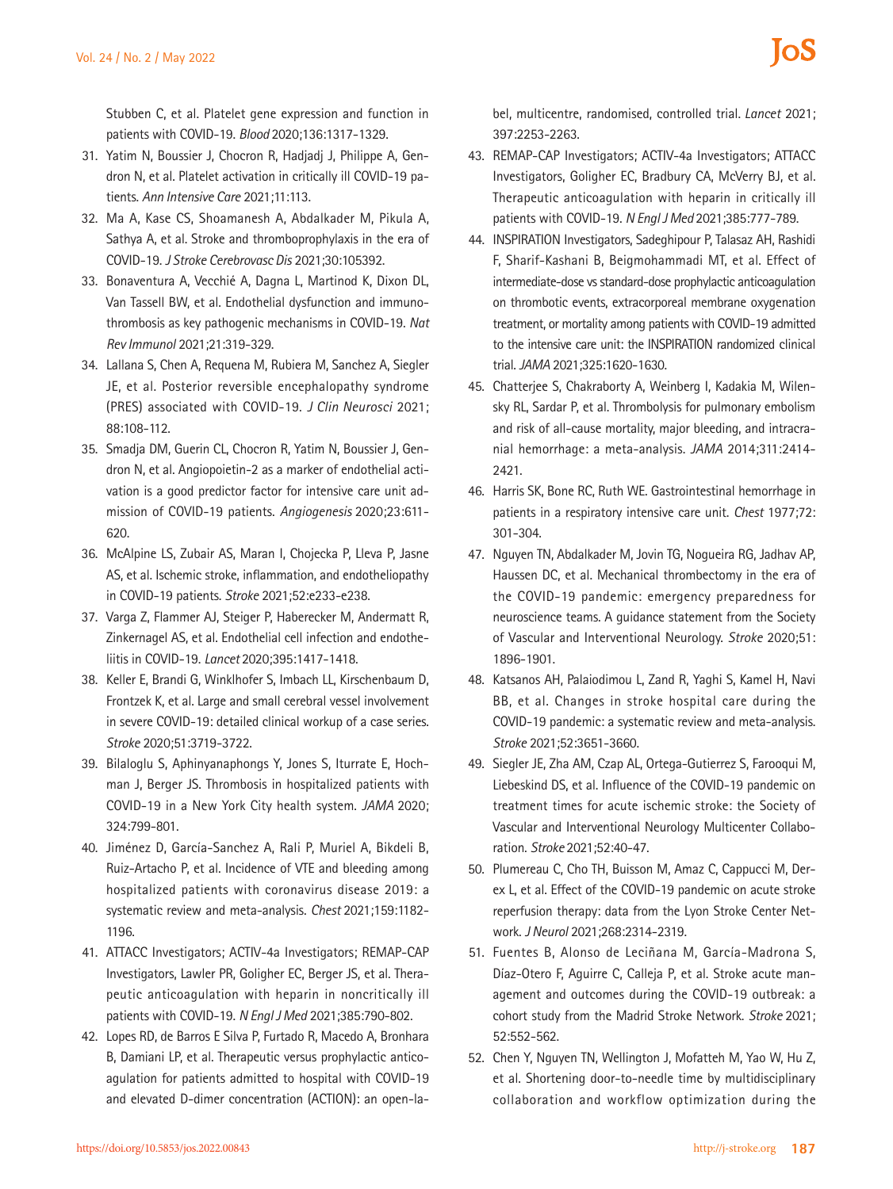Stubben C, et al. Platelet gene expression and function in patients with COVID-19. *Blood* 2020;136:1317-1329.

- 31. Yatim N, Boussier J, Chocron R, Hadjadj J, Philippe A, Gendron N, et al. Platelet activation in critically ill COVID-19 patients. *Ann Intensive Care* 2021;11:113.
- 32. Ma A, Kase CS, Shoamanesh A, Abdalkader M, Pikula A, Sathya A, et al. Stroke and thromboprophylaxis in the era of COVID-19. *J Stroke Cerebrovasc Dis* 2021;30:105392.
- 33. Bonaventura A, Vecchié A, Dagna L, Martinod K, Dixon DL, Van Tassell BW, et al. Endothelial dysfunction and immunothrombosis as key pathogenic mechanisms in COVID-19. *Nat Rev Immunol* 2021;21:319-329.
- 34. Lallana S, Chen A, Requena M, Rubiera M, Sanchez A, Siegler JE, et al. Posterior reversible encephalopathy syndrome (PRES) associated with COVID-19. *J Clin Neurosci* 2021; 88:108-112.
- 35. Smadja DM, Guerin CL, Chocron R, Yatim N, Boussier J, Gendron N, et al. Angiopoietin-2 as a marker of endothelial activation is a good predictor factor for intensive care unit admission of COVID-19 patients. *Angiogenesis* 2020;23:611- 620.
- 36. McAlpine LS, Zubair AS, Maran I, Chojecka P, Lleva P, Jasne AS, et al. Ischemic stroke, inflammation, and endotheliopathy in COVID-19 patients. *Stroke* 2021;52:e233-e238.
- 37. Varga Z, Flammer AJ, Steiger P, Haberecker M, Andermatt R, Zinkernagel AS, et al. Endothelial cell infection and endotheliitis in COVID-19. *Lancet* 2020;395:1417-1418.
- 38. Keller E, Brandi G, Winklhofer S, Imbach LL, Kirschenbaum D, Frontzek K, et al. Large and small cerebral vessel involvement in severe COVID-19: detailed clinical workup of a case series. *Stroke* 2020;51:3719-3722.
- 39. Bilaloglu S, Aphinyanaphongs Y, Jones S, Iturrate E, Hochman J, Berger JS. Thrombosis in hospitalized patients with COVID-19 in a New York City health system. *JAMA* 2020; 324:799-801.
- 40. Jiménez D, García-Sanchez A, Rali P, Muriel A, Bikdeli B, Ruiz-Artacho P, et al. Incidence of VTE and bleeding among hospitalized patients with coronavirus disease 2019: a systematic review and meta-analysis. *Chest* 2021;159:1182- 1196.
- 41. ATTACC Investigators; ACTIV-4a Investigators; REMAP-CAP Investigators, Lawler PR, Goligher EC, Berger JS, et al. Therapeutic anticoagulation with heparin in noncritically ill patients with COVID-19. *N Engl J Med* 2021;385:790-802.
- 42. Lopes RD, de Barros E Silva P, Furtado R, Macedo A, Bronhara B, Damiani LP, et al. Therapeutic versus prophylactic anticoagulation for patients admitted to hospital with COVID-19 and elevated D-dimer concentration (ACTION): an open-la-

bel, multicentre, randomised, controlled trial. *Lancet* 2021; 397:2253-2263.

- 43. REMAP-CAP Investigators; ACTIV-4a Investigators; ATTACC Investigators, Goligher EC, Bradbury CA, McVerry BJ, et al. Therapeutic anticoagulation with heparin in critically ill patients with COVID-19. *N Engl J Med* 2021;385:777-789.
- 44. INSPIRATION Investigators, Sadeghipour P, Talasaz AH, Rashidi F, Sharif-Kashani B, Beigmohammadi MT, et al. Effect of intermediate-dose vs standard-dose prophylactic anticoagulation on thrombotic events, extracorporeal membrane oxygenation treatment, or mortality among patients with COVID-19 admitted to the intensive care unit: the INSPIRATION randomized clinical trial. *JAMA* 2021;325:1620-1630.
- 45. Chatterjee S, Chakraborty A, Weinberg I, Kadakia M, Wilensky RL, Sardar P, et al. Thrombolysis for pulmonary embolism and risk of all-cause mortality, major bleeding, and intracranial hemorrhage: a meta-analysis. *JAMA* 2014;311:2414- 2421.
- 46. Harris SK, Bone RC, Ruth WE. Gastrointestinal hemorrhage in patients in a respiratory intensive care unit. *Chest* 1977;72: 301-304.
- 47. Nguyen TN, Abdalkader M, Jovin TG, Nogueira RG, Jadhav AP, Haussen DC, et al. Mechanical thrombectomy in the era of the COVID-19 pandemic: emergency preparedness for neuroscience teams. A guidance statement from the Society of Vascular and Interventional Neurology. *Stroke* 2020;51: 1896-1901.
- 48. Katsanos AH, Palaiodimou L, Zand R, Yaghi S, Kamel H, Navi BB, et al. Changes in stroke hospital care during the COVID-19 pandemic: a systematic review and meta-analysis. *Stroke* 2021;52:3651-3660.
- 49. Siegler JE, Zha AM, Czap AL, Ortega-Gutierrez S, Farooqui M, Liebeskind DS, et al. Influence of the COVID-19 pandemic on treatment times for acute ischemic stroke: the Society of Vascular and Interventional Neurology Multicenter Collaboration. *Stroke* 2021;52:40-47.
- 50. Plumereau C, Cho TH, Buisson M, Amaz C, Cappucci M, Derex L, et al. Effect of the COVID-19 pandemic on acute stroke reperfusion therapy: data from the Lyon Stroke Center Network. *J Neurol* 2021;268:2314-2319.
- 51. Fuentes B, Alonso de Leciñana M, García-Madrona S, Díaz-Otero F, Aguirre C, Calleja P, et al. Stroke acute management and outcomes during the COVID-19 outbreak: a cohort study from the Madrid Stroke Network. *Stroke* 2021; 52:552-562.
- 52. Chen Y, Nguyen TN, Wellington J, Mofatteh M, Yao W, Hu Z, et al. Shortening door-to-needle time by multidisciplinary collaboration and workflow optimization during the